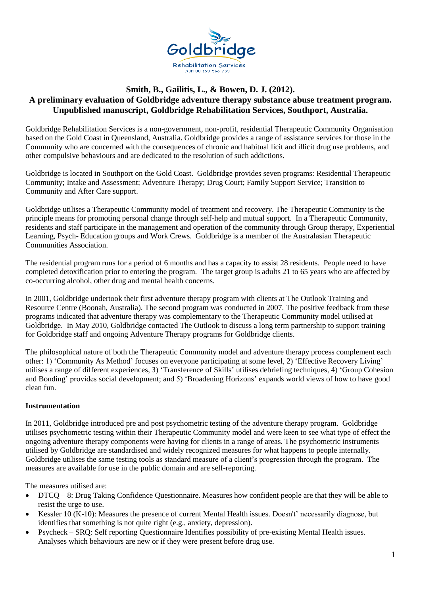

## **Smith, B., Gailitis, L., & Bowen, D. J. (2012). A preliminary evaluation of Goldbridge adventure therapy substance abuse treatment program. Unpublished manuscript, Goldbridge Rehabilitation Services, Southport, Australia.**

Goldbridge Rehabilitation Services is a non-government, non-profit, residential Therapeutic Community Organisation based on the Gold Coast in Queensland, Australia. Goldbridge provides a range of assistance services for those in the Community who are concerned with the consequences of chronic and habitual licit and illicit drug use problems, and other compulsive behaviours and are dedicated to the resolution of such addictions.

Goldbridge is located in Southport on the Gold Coast. Goldbridge provides seven programs: Residential Therapeutic Community; Intake and Assessment; Adventure Therapy; Drug Court; Family Support Service; Transition to Community and After Care support.

Goldbridge utilises a Therapeutic Community model of treatment and recovery. The Therapeutic Community is the principle means for promoting personal change through self-help and mutual support. In a Therapeutic Community, residents and staff participate in the management and operation of the community through Group therapy, Experiential Learning, Psych- Education groups and Work Crews. Goldbridge is a member of the Australasian Therapeutic Communities Association.

The residential program runs for a period of 6 months and has a capacity to assist 28 residents. People need to have completed detoxification prior to entering the program. The target group is adults 21 to 65 years who are affected by co-occurring alcohol, other drug and mental health concerns.

In 2001, Goldbridge undertook their first adventure therapy program with clients at The Outlook Training and Resource Centre (Boonah, Australia). The second program was conducted in 2007. The positive feedback from these programs indicated that adventure therapy was complementary to the Therapeutic Community model utilised at Goldbridge. In May 2010, Goldbridge contacted The Outlook to discuss a long term partnership to support training for Goldbridge staff and ongoing Adventure Therapy programs for Goldbridge clients.

The philosophical nature of both the Therapeutic Community model and adventure therapy process complement each other: 1) 'Community As Method' focuses on everyone participating at some level, 2) 'Effective Recovery Living' utilises a range of different experiences, 3) 'Transference of Skills' utilises debriefing techniques, 4) 'Group Cohesion and Bonding' provides social development; and 5) 'Broadening Horizons' expands world views of how to have good clean fun.

### **Instrumentation**

In 2011, Goldbridge introduced pre and post psychometric testing of the adventure therapy program. Goldbridge utilises psychometric testing within their Therapeutic Community model and were keen to see what type of effect the ongoing adventure therapy components were having for clients in a range of areas. The psychometric instruments utilised by Goldbridge are standardised and widely recognized measures for what happens to people internally. Goldbridge utilises the same testing tools as standard measure of a client's progression through the program. The measures are available for use in the public domain and are self-reporting.

The measures utilised are:

- DTCQ 8: Drug Taking Confidence Questionnaire. Measures how confident people are that they will be able to resist the urge to use.
- Kessler 10 (K-10): Measures the presence of current Mental Health issues. Doesn't' necessarily diagnose, but identifies that something is not quite right (e.g., anxiety, depression).
- Psycheck SRQ: Self reporting Questionnaire Identifies possibility of pre-existing Mental Health issues. Analyses which behaviours are new or if they were present before drug use.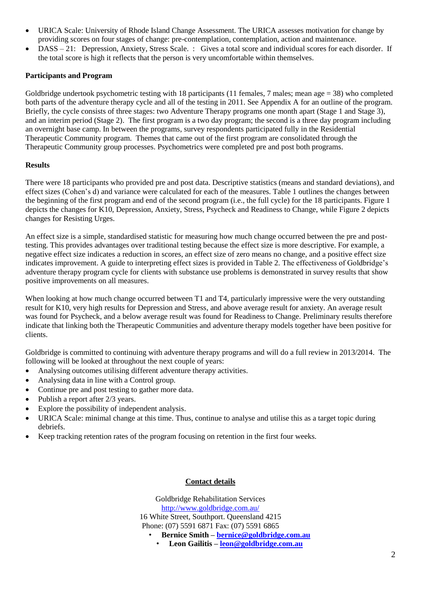- URICA Scale: University of Rhode Island Change Assessment. The URICA assesses motivation for change by providing scores on four stages of change: pre-contemplation, contemplation, action and maintenance.
- DASS 21: Depression, Anxiety, Stress Scale. : Gives a total score and individual scores for each disorder. If the total score is high it reflects that the person is very uncomfortable within themselves.

### **Participants and Program**

Goldbridge undertook psychometric testing with 18 participants (11 females, 7 males; mean age  $= 38$ ) who completed both parts of the adventure therapy cycle and all of the testing in 2011. See Appendix A for an outline of the program. Briefly, the cycle consists of three stages: two Adventure Therapy programs one month apart (Stage 1 and Stage 3), and an interim period (Stage 2). The first program is a two day program; the second is a three day program including an overnight base camp. In between the programs, survey respondents participated fully in the Residential Therapeutic Community program. Themes that came out of the first program are consolidated through the Therapeutic Community group processes. Psychometrics were completed pre and post both programs.

#### **Results**

There were 18 participants who provided pre and post data. Descriptive statistics (means and standard deviations), and effect sizes (Cohen's d) and variance were calculated for each of the measures. Table 1 outlines the changes between the beginning of the first program and end of the second program (i.e., the full cycle) for the 18 participants. Figure 1 depicts the changes for K10, Depression, Anxiety, Stress, Psycheck and Readiness to Change, while Figure 2 depicts changes for Resisting Urges.

An effect size is a simple, standardised statistic for measuring how much change occurred between the pre and posttesting. This provides advantages over traditional testing because the effect size is more descriptive. For example, a negative effect size indicates a reduction in scores, an effect size of zero means no change, and a positive effect size indicates improvement. A guide to interpreting effect sizes is provided in Table 2. The effectiveness of Goldbridge's adventure therapy program cycle for clients with substance use problems is demonstrated in survey results that show positive improvements on all measures.

When looking at how much change occurred between T1 and T4, particularly impressive were the very outstanding result for K10, very high results for Depression and Stress, and above average result for anxiety. An average result was found for Psycheck, and a below average result was found for Readiness to Change. Preliminary results therefore indicate that linking both the Therapeutic Communities and adventure therapy models together have been positive for clients.

Goldbridge is committed to continuing with adventure therapy programs and will do a full review in 2013/2014. The following will be looked at throughout the next couple of years:

- Analysing outcomes utilising different adventure therapy activities.
- Analysing data in line with a Control group.
- Continue pre and post testing to gather more data.
- Publish a report after 2/3 years.
- Explore the possibility of independent analysis.
- URICA Scale: minimal change at this time. Thus, continue to analyse and utilise this as a target topic during debriefs.
- Keep tracking retention rates of the program focusing on retention in the first four weeks.

### **Contact details**

Goldbridge Rehabilitation Services <http://www.goldbridge.com.au/> 16 White Street, Southport. Queensland 4215 Phone: (07) 5591 6871 Fax: (07) 5591 6865 • **Bernice Smith – [bernice@goldbridge.com.au](mailto:bernice@goldbridge.com.au)**

• **Leon Gailitis – [leon@goldbridge.com.au](mailto:leon@goldbridge.com.au)**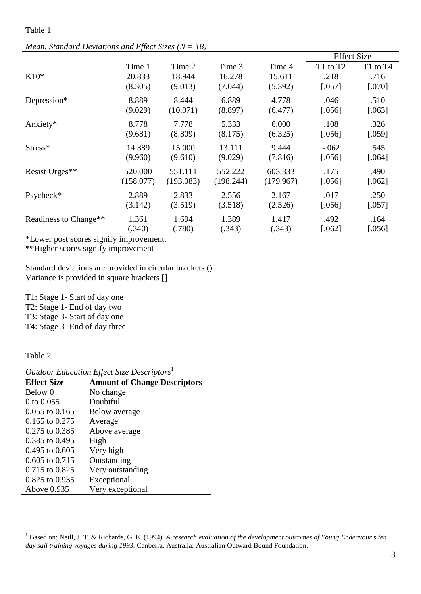Table 1

|                       |           |           |           |           | <b>Effect Size</b> |          |
|-----------------------|-----------|-----------|-----------|-----------|--------------------|----------|
|                       | Time 1    | Time 2    | Time 3    | Time 4    | T1 to T2           | T1 to T4 |
| $K10*$                | 20.833    | 18.944    | 16.278    | 15.611    | .218               | .716     |
|                       | (8.305)   | (9.013)   | (7.044)   | (5.392)   | [.057]             | $[.070]$ |
| Depression*           | 8.889     | 8.444     | 6.889     | 4.778     | .046               | .510     |
|                       | (9.029)   | (10.071)  | (8.897)   | (6.477)   | [.056]             | $[.063]$ |
| Anxiety*              | 8.778     | 7.778     | 5.333     | 6.000     | .108               | .326     |
|                       | (9.681)   | (8.809)   | (8.175)   | (6.325)   | [.056]             | [.059]   |
| Stress*               | 14.389    | 15.000    | 13.111    | 9.444     | $-.062$            | .545     |
|                       | (9.960)   | (9.610)   | (9.029)   | (7.816)   | [.056]             | $[.064]$ |
| Resist Urges**        | 520.000   | 551.111   | 552.222   | 603.333   | .175               | .490     |
|                       | (158.077) | (193.083) | (198.244) | (179.967) | [.056]             | $[.062]$ |
| Psycheck*             | 2.889     | 2.833     | 2.556     | 2.167     | .017               | .250     |
|                       | (3.142)   | (3.519)   | (3.518)   | (2.526)   | [.056]             | $[.057]$ |
| Readiness to Change** | 1.361     | 1.694     | 1.389     | 1.417     | .492               | .164     |
|                       | (.340)    | (.780)    | (.343)    | (.343)    | $[.062]$           | $[.056]$ |

*Mean, Standard Deviations and Effect Sizes (N = 18)*

\*Lower post scores signify improvement.

\*\*Higher scores signify improvement

Standard deviations are provided in circular brackets () Variance is provided in square brackets []

T1: Stage 1- Start of day one

T2: Stage 1- End of day two

T3: Stage 3- Start of day one

T4: Stage 3- End of day three

Table 2

*Outdoor Education Effect Size Descriptors*<sup>1</sup>

| <b>Effect Size</b> | <b>Amount of Change Descriptors</b> |
|--------------------|-------------------------------------|
| Below 0            | No change                           |
| 0 to $0.055$       | Doubtful                            |
| $0.055$ to $0.165$ | Below average                       |
| $0.165$ to $0.275$ | Average                             |
| 0.275 to 0.385     | Above average                       |
| 0.385 to 0.495     | High                                |
| $0.495$ to $0.605$ | Very high                           |
| $0.605$ to $0.715$ | Outstanding                         |
| 0.715 to 0.825     | Very outstanding                    |
| 0.825 to 0.935     | Exceptional                         |
| Above 0.935        | Very exceptional                    |

<sup>1</sup> <sup>1</sup> Based on: Neill, J. T. & Richards, G. E. (1994). *A research evaluation of the development outcomes of Young Endeavour's ten day sail training voyages during 1993.* Canberra, Australia: Australian Outward Bound Foundation.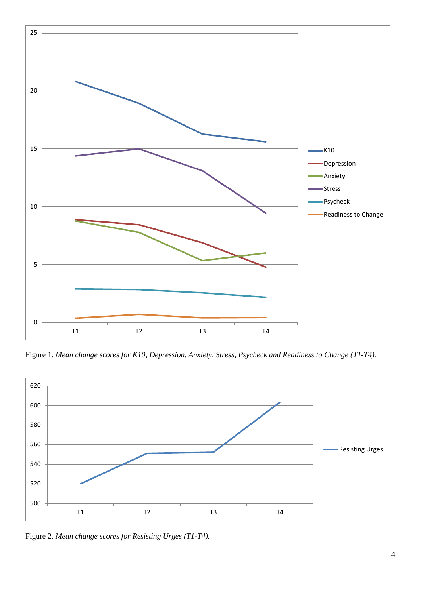

Figure 1*. Mean change scores for K10, Depression, Anxiety, Stress, Psycheck and Readiness to Change (T1-T4).*



Figure 2. *Mean change scores for Resisting Urges (T1-T4).*